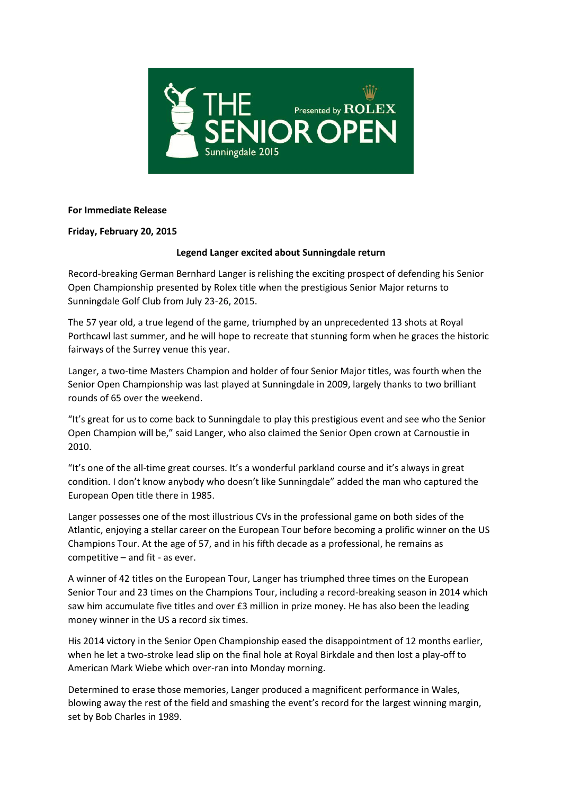

## **For Immediate Release**

## **Friday, February 20, 2015**

# **Legend Langer excited about Sunningdale return**

Record-breaking German Bernhard Langer is relishing the exciting prospect of defending his Senior Open Championship presented by Rolex title when the prestigious Senior Major returns to Sunningdale Golf Club from July 23-26, 2015.

The 57 year old, a true legend of the game, triumphed by an unprecedented 13 shots at Royal Porthcawl last summer, and he will hope to recreate that stunning form when he graces the historic fairways of the Surrey venue this year.

Langer, a two-time Masters Champion and holder of four Senior Major titles, was fourth when the Senior Open Championship was last played at Sunningdale in 2009, largely thanks to two brilliant rounds of 65 over the weekend.

"It's great for us to come back to Sunningdale to play this prestigious event and see who the Senior Open Champion will be," said Langer, who also claimed the Senior Open crown at Carnoustie in 2010.

"It's one of the all-time great courses. It's a wonderful parkland course and it's always in great condition. I don't know anybody who doesn't like Sunningdale" added the man who captured the European Open title there in 1985.

Langer possesses one of the most illustrious CVs in the professional game on both sides of the Atlantic, enjoying a stellar career on the European Tour before becoming a prolific winner on the US Champions Tour. At the age of 57, and in his fifth decade as a professional, he remains as competitive – and fit - as ever.

A winner of 42 titles on the European Tour, Langer has triumphed three times on the European Senior Tour and 23 times on the Champions Tour, including a record-breaking season in 2014 which saw him accumulate five titles and over £3 million in prize money. He has also been the leading money winner in the US a record six times.

His 2014 victory in the Senior Open Championship eased the disappointment of 12 months earlier, when he let a two-stroke lead slip on the final hole at Royal Birkdale and then lost a play-off to American Mark Wiebe which over-ran into Monday morning.

Determined to erase those memories, Langer produced a magnificent performance in Wales, blowing away the rest of the field and smashing the event's record for the largest winning margin, set by Bob Charles in 1989.